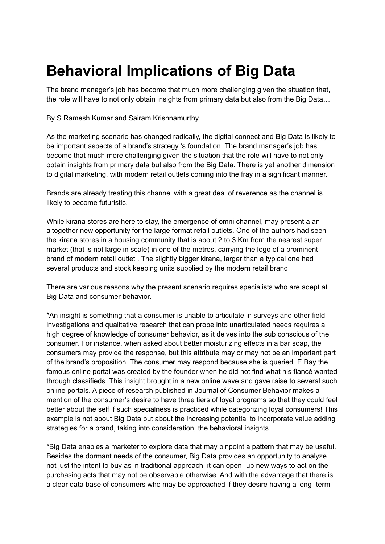## **Behavioral Implications of Big Data**

The brand manager's job has become that much more challenging given the situation that, the role will have to not only obtain insights from primary data but also from the Big Data…

By S Ramesh Kumar and Sairam Krishnamurthy

As the marketing scenario has changed radically, the digital connect and Big Data is likely to be important aspects of a brand's strategy 's foundation. The brand manager's job has become that much more challenging given the situation that the role will have to not only obtain insights from primary data but also from the Big Data. There is yet another dimension to digital marketing, with modern retail outlets coming into the fray in a significant manner.

Brands are already treating this channel with a great deal of reverence as the channel is likely to become futuristic.

While kirana stores are here to stay, the emergence of omni channel, may present a an altogether new opportunity for the large format retail outlets. One of the authors had seen the kirana stores in a housing community that is about 2 to 3 Km from the nearest super market (that is not large in scale) in one of the metros, carrying the logo of a prominent brand of modern retail outlet . The slightly bigger kirana, larger than a typical one had several products and stock keeping units supplied by the modern retail brand.

There are various reasons why the present scenario requires specialists who are adept at Big Data and consumer behavior.

\*An insight is something that a consumer is unable to articulate in surveys and other field investigations and qualitative research that can probe into unarticulated needs requires a high degree of knowledge of consumer behavior, as it delves into the sub conscious of the consumer. For instance, when asked about better moisturizing effects in a bar soap, the consumers may provide the response, but this attribute may or may not be an important part of the brand's proposition. The consumer may respond because she is queried. E Bay the famous online portal was created by the founder when he did not find what his fiancé wanted through classifieds. This insight brought in a new online wave and gave raise to several such online portals. A piece of research published in Journal of Consumer Behavior makes a mention of the consumer's desire to have three tiers of loyal programs so that they could feel better about the self if such specialness is practiced while categorizing loyal consumers! This example is not about Big Data but about the increasing potential to incorporate value adding strategies for a brand, taking into consideration, the behavioral insights .

\*Big Data enables a marketer to explore data that may pinpoint a pattern that may be useful. Besides the dormant needs of the consumer, Big Data provides an opportunity to analyze not just the intent to buy as in traditional approach; it can open- up new ways to act on the purchasing acts that may not be observable otherwise. And with the advantage that there is a clear data base of consumers who may be approached if they desire having a long- term